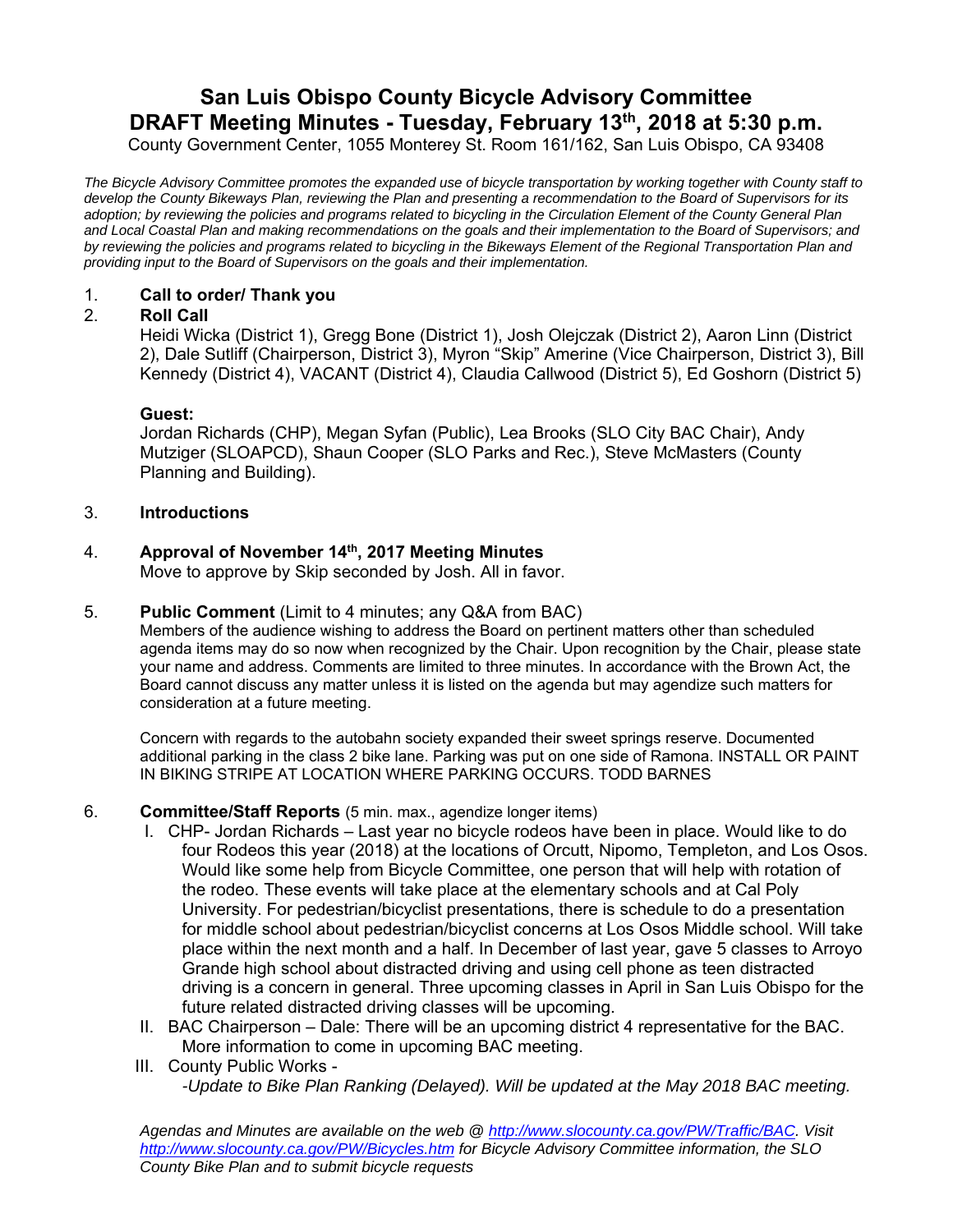# **San Luis Obispo County Bicycle Advisory Committee DRAFT Meeting Minutes - Tuesday, February 13th, 2018 at 5:30 p.m.**

County Government Center, 1055 Monterey St. Room 161/162, San Luis Obispo, CA 93408

*The Bicycle Advisory Committee promotes the expanded use of bicycle transportation by working together with County staff to develop the County Bikeways Plan, reviewing the Plan and presenting a recommendation to the Board of Supervisors for its adoption; by reviewing the policies and programs related to bicycling in the Circulation Element of the County General Plan and Local Coastal Plan and making recommendations on the goals and their implementation to the Board of Supervisors; and by reviewing the policies and programs related to bicycling in the Bikeways Element of the Regional Transportation Plan and providing input to the Board of Supervisors on the goals and their implementation.* 

# 1. **Call to order/ Thank you**

# 2. **Roll Call**

Heidi Wicka (District 1), Gregg Bone (District 1), Josh Olejczak (District 2), Aaron Linn (District 2), Dale Sutliff (Chairperson, District 3), Myron "Skip" Amerine (Vice Chairperson, District 3), Bill Kennedy (District 4), VACANT (District 4), Claudia Callwood (District 5), Ed Goshorn (District 5)

#### **Guest:**

Jordan Richards (CHP), Megan Syfan (Public), Lea Brooks (SLO City BAC Chair), Andy Mutziger (SLOAPCD), Shaun Cooper (SLO Parks and Rec.), Steve McMasters (County Planning and Building).

#### 3. **Introductions**

# 4. **Approval of November 14th, 2017 Meeting Minutes**

Move to approve by Skip seconded by Josh. All in favor.

#### 5. **Public Comment** (Limit to 4 minutes; any Q&A from BAC)

Members of the audience wishing to address the Board on pertinent matters other than scheduled agenda items may do so now when recognized by the Chair. Upon recognition by the Chair, please state your name and address. Comments are limited to three minutes. In accordance with the Brown Act, the Board cannot discuss any matter unless it is listed on the agenda but may agendize such matters for consideration at a future meeting.

Concern with regards to the autobahn society expanded their sweet springs reserve. Documented additional parking in the class 2 bike lane. Parking was put on one side of Ramona. INSTALL OR PAINT IN BIKING STRIPE AT LOCATION WHERE PARKING OCCURS. TODD BARNES

#### 6. **Committee/Staff Reports** (5 min. max., agendize longer items)

- I. CHP- Jordan Richards Last year no bicycle rodeos have been in place. Would like to do four Rodeos this year (2018) at the locations of Orcutt, Nipomo, Templeton, and Los Osos. Would like some help from Bicycle Committee, one person that will help with rotation of the rodeo. These events will take place at the elementary schools and at Cal Poly University. For pedestrian/bicyclist presentations, there is schedule to do a presentation for middle school about pedestrian/bicyclist concerns at Los Osos Middle school. Will take place within the next month and a half. In December of last year, gave 5 classes to Arroyo Grande high school about distracted driving and using cell phone as teen distracted driving is a concern in general. Three upcoming classes in April in San Luis Obispo for the future related distracted driving classes will be upcoming.
- II. BAC Chairperson Dale: There will be an upcoming district 4 representative for the BAC. More information to come in upcoming BAC meeting.
- III. County Public Works -

*-Update to Bike Plan Ranking (Delayed). Will be updated at the May 2018 BAC meeting.* 

*Agendas and Minutes are available on the web @ http://www.slocounty.ca.gov/PW/Traffic/BAC. Visit http://www.slocounty.ca.gov/PW/Bicycles.htm for Bicycle Advisory Committee information, the SLO County Bike Plan and to submit bicycle requests*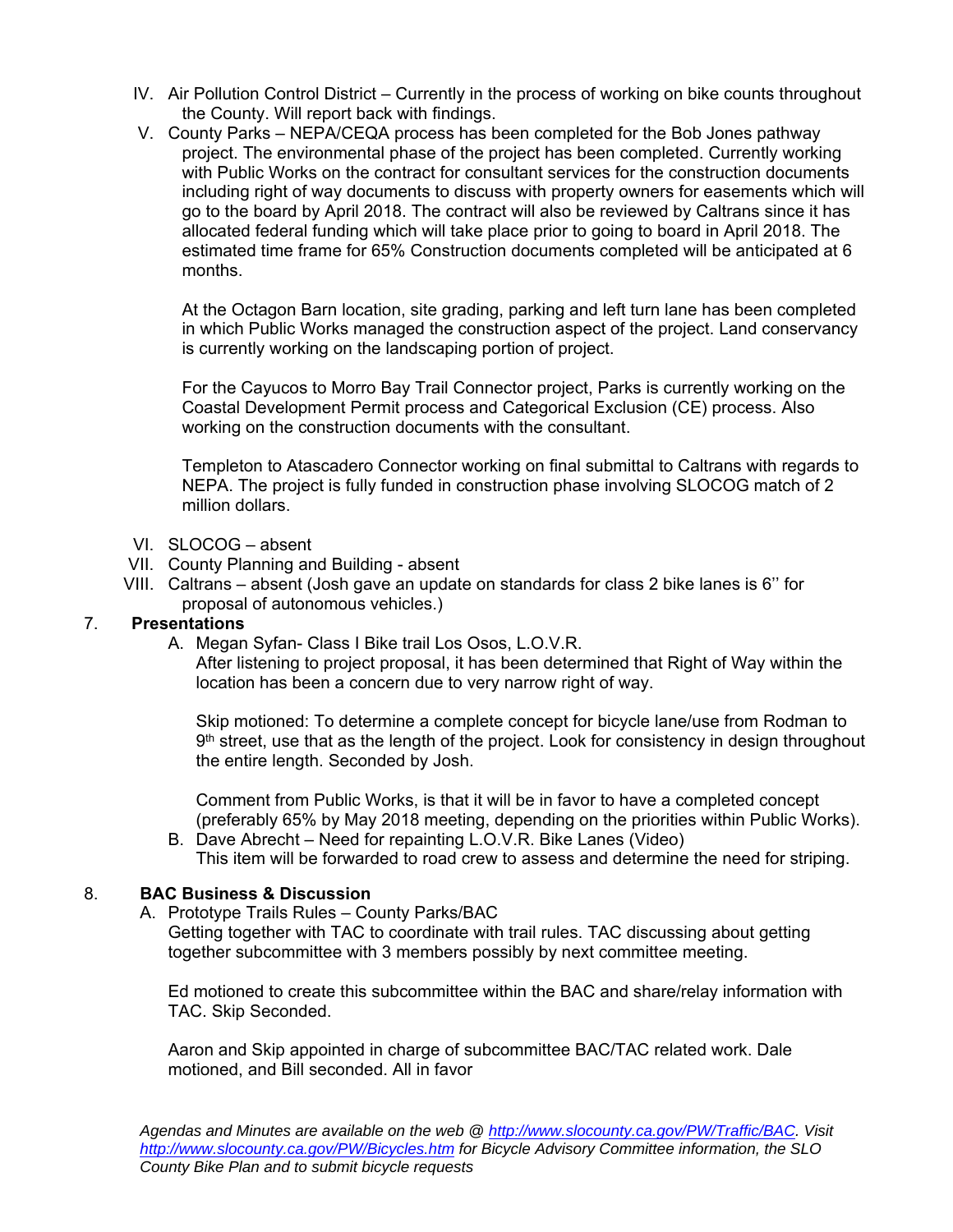- IV. Air Pollution Control District Currently in the process of working on bike counts throughout the County. Will report back with findings.
- V. County Parks NEPA/CEQA process has been completed for the Bob Jones pathway project. The environmental phase of the project has been completed. Currently working with Public Works on the contract for consultant services for the construction documents including right of way documents to discuss with property owners for easements which will go to the board by April 2018. The contract will also be reviewed by Caltrans since it has allocated federal funding which will take place prior to going to board in April 2018. The estimated time frame for 65% Construction documents completed will be anticipated at 6 months.

At the Octagon Barn location, site grading, parking and left turn lane has been completed in which Public Works managed the construction aspect of the project. Land conservancy is currently working on the landscaping portion of project.

For the Cayucos to Morro Bay Trail Connector project, Parks is currently working on the Coastal Development Permit process and Categorical Exclusion (CE) process. Also working on the construction documents with the consultant.

Templeton to Atascadero Connector working on final submittal to Caltrans with regards to NEPA. The project is fully funded in construction phase involving SLOCOG match of 2 million dollars.

- VI. SLOCOG absent
- VII. County Planning and Building absent
- VIII. Caltrans absent (Josh gave an update on standards for class 2 bike lanes is 6'' for proposal of autonomous vehicles.)

# 7. **Presentations**

A. Megan Syfan- Class I Bike trail Los Osos, L.O.V.R.

After listening to project proposal, it has been determined that Right of Way within the location has been a concern due to very narrow right of way.

Skip motioned: To determine a complete concept for bicycle lane/use from Rodman to 9<sup>th</sup> street, use that as the length of the project. Look for consistency in design throughout the entire length. Seconded by Josh.

Comment from Public Works, is that it will be in favor to have a completed concept (preferably 65% by May 2018 meeting, depending on the priorities within Public Works).

B. Dave Abrecht – Need for repainting L.O.V.R. Bike Lanes (Video) This item will be forwarded to road crew to assess and determine the need for striping.

# 8. **BAC Business & Discussion**

A. Prototype Trails Rules – County Parks/BAC

Getting together with TAC to coordinate with trail rules. TAC discussing about getting together subcommittee with 3 members possibly by next committee meeting.

Ed motioned to create this subcommittee within the BAC and share/relay information with TAC. Skip Seconded.

Aaron and Skip appointed in charge of subcommittee BAC/TAC related work. Dale motioned, and Bill seconded. All in favor